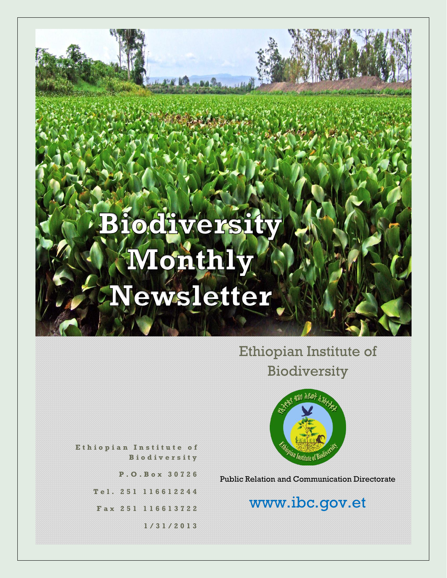# **Biodiversity** Monthly Vewsletter

Ethiopian Institute of Biodiversity



**E t h i o p i a n I n s t i t u t e o f B i o d i v e r s i t y**

**P . O . B o x 3 0 7 2 6**

**T e l . 2 5 1 1 1 6 6 1 2 2 4 4**

**F a x 2 5 1 116613722**

**1 / 3 1 / 2 0 1 3**

Public Relation and Communication Directorate

# www.ibc.gov.et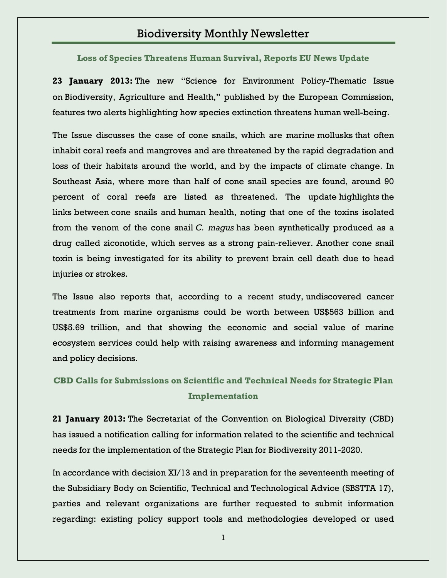## Biodiversity Monthly Newsletter

**[Loss of Species Threatens Human Survival, Reports EU News Update](http://www.ibc.gov.et/2705)**

**23 January 2013:** The new "Science for Environment Policy-Thematic Issue on Biodiversity, Agriculture and Health," published by the European Commission, features two alerts highlighting how species extinction threatens human well-being.

The Issue discusses the case of cone snails, which are marine mollusks that often inhabit coral reefs and mangroves and are threatened by the rapid degradation and loss of their habitats around the world, and by the impacts of climate change. In Southeast Asia, where more than half of cone snail species are found, around 90 percent of coral reefs are listed as threatened. The update highlights the links between cone snails and human health, noting that one of the toxins isolated from the venom of the cone snail *C. magus* has been synthetically produced as a drug called ziconotide, which serves as a strong pain-reliever. Another cone snail toxin is being investigated for its ability to prevent brain cell death due to head injuries or strokes.

The Issue also reports that, according to a recent study, undiscovered cancer treatments from marine organisms could be worth between US\$563 billion and US\$5.69 trillion, and that showing the economic and social value of marine ecosystem services could help with raising awareness and informing management and policy decisions.

**CBD [Calls for Submissions on Scientific and Technical Needs for Strategic Plan](http://www.ibc.gov.et/2703)  [Implementation](http://www.ibc.gov.et/2703)**

**21 January 2013:** The Secretariat of the Convention on Biological Diversity (CBD) has issued a notification calling for information related to the scientific and technical needs for the implementation of the Strategic Plan for Biodiversity 2011-2020.

In accordance with decision XI/13 and in preparation for the seventeenth meeting of the Subsidiary Body on Scientific, Technical and Technological Advice (SBSTTA 17), parties and relevant organizations are further requested to submit information regarding: existing policy support tools and methodologies developed or used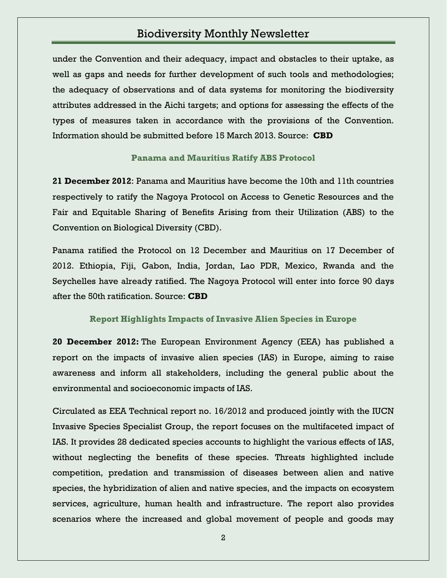# Biodiversity Monthly Newsletter

under the Convention and their adequacy, impact and obstacles to their uptake, as well as gaps and needs for further development of such tools and methodologies; the adequacy of observations and of data systems for monitoring the biodiversity attributes addressed in the Aichi targets; and options for assessing the effects of the types of measures taken in accordance with the provisions of the Convention. Information should be submitted before 15 March 2013. Source: **CBD**

#### **[Panama and Mauritius Ratify ABS Protocol](http://www.ibc.gov.et/2698)**

**21 December 2012**: Panama and Mauritius have become the 10th and 11th countries respectively to ratify the Nagoya Protocol on Access to Genetic Resources and the Fair and Equitable Sharing of Benefits Arising from their Utilization (ABS) to the Convention on Biological Diversity (CBD).

Panama ratified the Protocol on 12 December and Mauritius on 17 December of 2012. Ethiopia, Fiji, Gabon, India, Jordan, Lao PDR, Mexico, Rwanda and the Seychelles have already ratified. The Nagoya Protocol will enter into force 90 days after the 50th ratification. Source: **CBD**

#### **[Report Highlights Impacts of Invasive Alien Species in Europe](http://www.ibc.gov.et/2653)**

**20 December 2012:** The European Environment Agency (EEA) has published a report on the impacts of invasive alien species (IAS) in Europe, aiming to raise awareness and inform all stakeholders, including the general public about the environmental and socioeconomic impacts of IAS.

Circulated as EEA Technical report no. 16/2012 and produced jointly with the IUCN Invasive Species Specialist Group, the report focuses on the multifaceted impact of IAS. It provides 28 dedicated species accounts to highlight the various effects of IAS, without neglecting the benefits of these species. Threats highlighted include competition, predation and transmission of diseases between alien and native species, the hybridization of alien and native species, and the impacts on ecosystem services, agriculture, human health and infrastructure. The report also provides scenarios where the increased and global movement of people and goods may